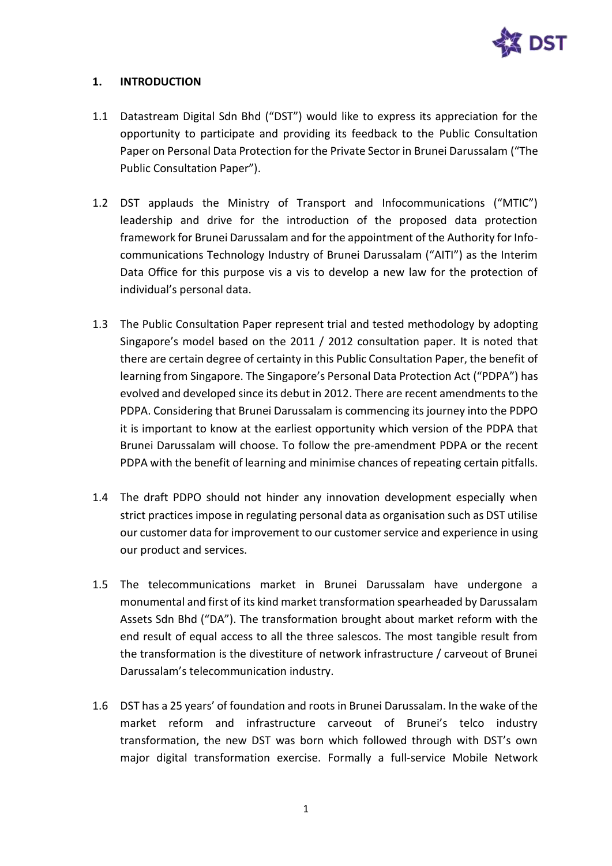

# **1. INTRODUCTION**

- 1.1 Datastream Digital Sdn Bhd ("DST") would like to express its appreciation for the opportunity to participate and providing its feedback to the Public Consultation Paper on Personal Data Protection for the Private Sector in Brunei Darussalam ("The Public Consultation Paper").
- 1.2 DST applauds the Ministry of Transport and Infocommunications ("MTIC") leadership and drive for the introduction of the proposed data protection framework for Brunei Darussalam and for the appointment of the Authority for Infocommunications Technology Industry of Brunei Darussalam ("AITI") as the Interim Data Office for this purpose vis a vis to develop a new law for the protection of individual's personal data.
- 1.3 The Public Consultation Paper represent trial and tested methodology by adopting Singapore's model based on the 2011 / 2012 consultation paper. It is noted that there are certain degree of certainty in this Public Consultation Paper, the benefit of learning from Singapore. The Singapore's Personal Data Protection Act ("PDPA") has evolved and developed since its debut in 2012. There are recent amendments to the PDPA. Considering that Brunei Darussalam is commencing its journey into the PDPO it is important to know at the earliest opportunity which version of the PDPA that Brunei Darussalam will choose. To follow the pre-amendment PDPA or the recent PDPA with the benefit of learning and minimise chances of repeating certain pitfalls.
- 1.4 The draft PDPO should not hinder any innovation development especially when strict practices impose in regulating personal data as organisation such as DST utilise our customer data for improvement to our customer service and experience in using our product and services.
- 1.5 The telecommunications market in Brunei Darussalam have undergone a monumental and first of its kind market transformation spearheaded by Darussalam Assets Sdn Bhd ("DA"). The transformation brought about market reform with the end result of equal access to all the three salescos. The most tangible result from the transformation is the divestiture of network infrastructure / carveout of Brunei Darussalam's telecommunication industry.
- 1.6 DST has a 25 years' of foundation and roots in Brunei Darussalam. In the wake of the market reform and infrastructure carveout of Brunei's telco industry transformation, the new DST was born which followed through with DST's own major digital transformation exercise. Formally a full-service Mobile Network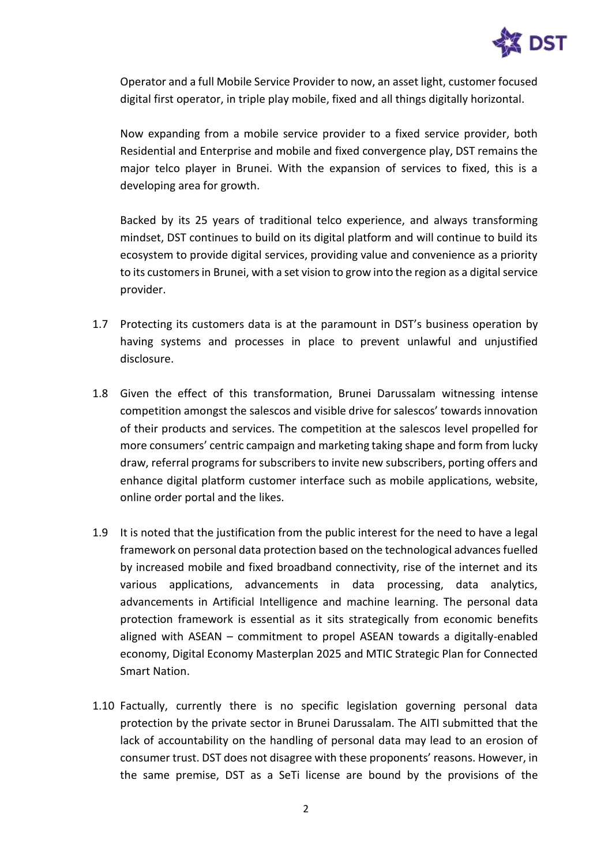

Operator and a full Mobile Service Provider to now, an asset light, customer focused digital first operator, in triple play mobile, fixed and all things digitally horizontal.

Now expanding from a mobile service provider to a fixed service provider, both Residential and Enterprise and mobile and fixed convergence play, DST remains the major telco player in Brunei. With the expansion of services to fixed, this is a developing area for growth.

Backed by its 25 years of traditional telco experience, and always transforming mindset, DST continues to build on its digital platform and will continue to build its ecosystem to provide digital services, providing value and convenience as a priority to its customers in Brunei, with a set vision to grow into the region as a digital service provider.

- 1.7 Protecting its customers data is at the paramount in DST's business operation by having systems and processes in place to prevent unlawful and unjustified disclosure.
- 1.8 Given the effect of this transformation, Brunei Darussalam witnessing intense competition amongst the salescos and visible drive for salescos' towards innovation of their products and services. The competition at the salescos level propelled for more consumers' centric campaign and marketing taking shape and form from lucky draw, referral programs for subscribers to invite new subscribers, porting offers and enhance digital platform customer interface such as mobile applications, website, online order portal and the likes.
- 1.9 It is noted that the justification from the public interest for the need to have a legal framework on personal data protection based on the technological advances fuelled by increased mobile and fixed broadband connectivity, rise of the internet and its various applications, advancements in data processing, data analytics, advancements in Artificial Intelligence and machine learning. The personal data protection framework is essential as it sits strategically from economic benefits aligned with ASEAN – commitment to propel ASEAN towards a digitally-enabled economy, Digital Economy Masterplan 2025 and MTIC Strategic Plan for Connected Smart Nation.
- 1.10 Factually, currently there is no specific legislation governing personal data protection by the private sector in Brunei Darussalam. The AITI submitted that the lack of accountability on the handling of personal data may lead to an erosion of consumer trust. DST does not disagree with these proponents' reasons. However, in the same premise, DST as a SeTi license are bound by the provisions of the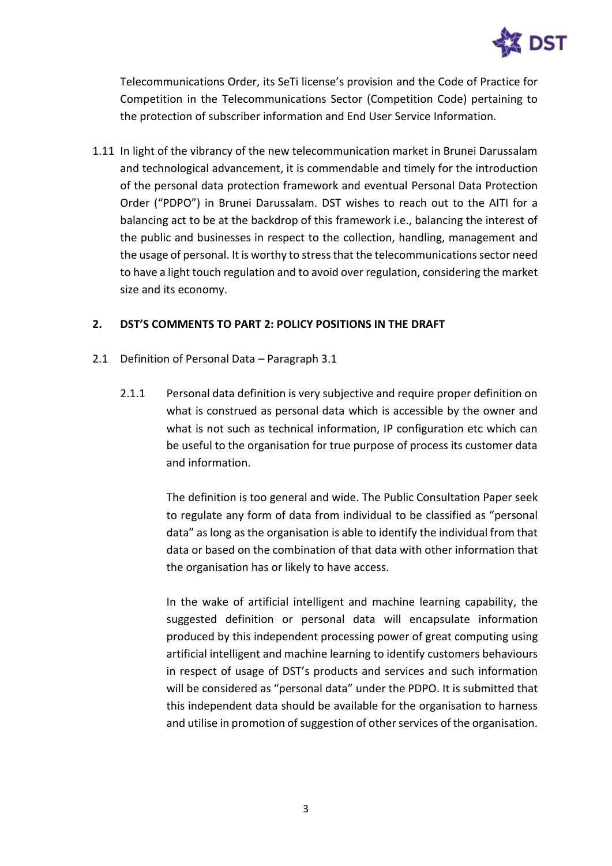

Telecommunications Order, its SeTi license's provision and the Code of Practice for Competition in the Telecommunications Sector (Competition Code) pertaining to the protection of subscriber information and End User Service Information.

1.11 In light of the vibrancy of the new telecommunication market in Brunei Darussalam and technological advancement, it is commendable and timely for the introduction of the personal data protection framework and eventual Personal Data Protection Order ("PDPO") in Brunei Darussalam. DST wishes to reach out to the AITI for a balancing act to be at the backdrop of this framework i.e., balancing the interest of the public and businesses in respect to the collection, handling, management and the usage of personal. It is worthy to stress that the telecommunications sector need to have a light touch regulation and to avoid over regulation, considering the market size and its economy.

# **2. DST'S COMMENTS TO PART 2: POLICY POSITIONS IN THE DRAFT**

- 2.1 Definition of Personal Data Paragraph 3.1
	- 2.1.1 Personal data definition is very subjective and require proper definition on what is construed as personal data which is accessible by the owner and what is not such as technical information, IP configuration etc which can be useful to the organisation for true purpose of process its customer data and information.

The definition is too general and wide. The Public Consultation Paper seek to regulate any form of data from individual to be classified as "personal data" as long as the organisation is able to identify the individual from that data or based on the combination of that data with other information that the organisation has or likely to have access.

In the wake of artificial intelligent and machine learning capability, the suggested definition or personal data will encapsulate information produced by this independent processing power of great computing using artificial intelligent and machine learning to identify customers behaviours in respect of usage of DST's products and services and such information will be considered as "personal data" under the PDPO. It is submitted that this independent data should be available for the organisation to harness and utilise in promotion of suggestion of other services of the organisation.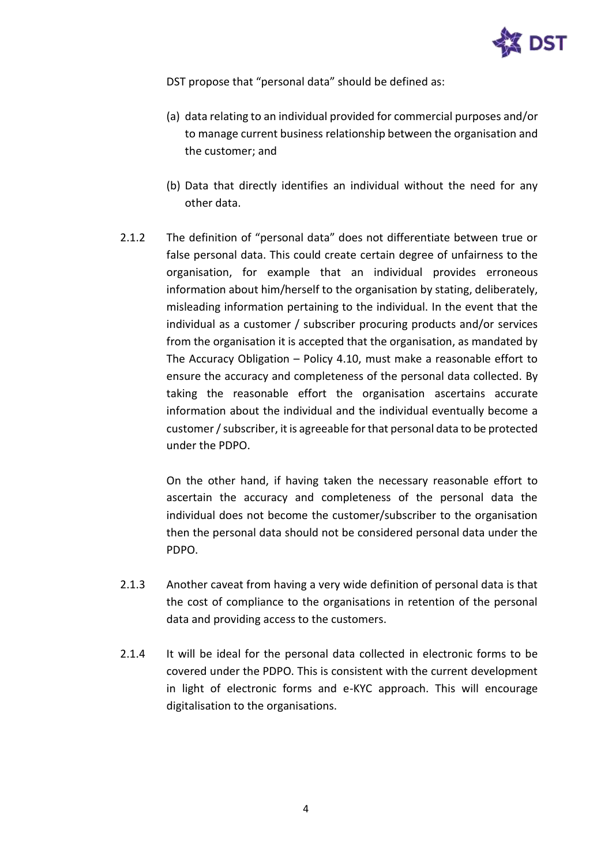

DST propose that "personal data" should be defined as:

- (a) data relating to an individual provided for commercial purposes and/or to manage current business relationship between the organisation and the customer; and
- (b) Data that directly identifies an individual without the need for any other data.
- 2.1.2 The definition of "personal data" does not differentiate between true or false personal data. This could create certain degree of unfairness to the organisation, for example that an individual provides erroneous information about him/herself to the organisation by stating, deliberately, misleading information pertaining to the individual. In the event that the individual as a customer / subscriber procuring products and/or services from the organisation it is accepted that the organisation, as mandated by The Accuracy Obligation – Policy 4.10, must make a reasonable effort to ensure the accuracy and completeness of the personal data collected. By taking the reasonable effort the organisation ascertains accurate information about the individual and the individual eventually become a customer / subscriber, it is agreeable for that personal data to be protected under the PDPO.

On the other hand, if having taken the necessary reasonable effort to ascertain the accuracy and completeness of the personal data the individual does not become the customer/subscriber to the organisation then the personal data should not be considered personal data under the PDPO.

- 2.1.3 Another caveat from having a very wide definition of personal data is that the cost of compliance to the organisations in retention of the personal data and providing access to the customers.
- 2.1.4 It will be ideal for the personal data collected in electronic forms to be covered under the PDPO. This is consistent with the current development in light of electronic forms and e-KYC approach. This will encourage digitalisation to the organisations.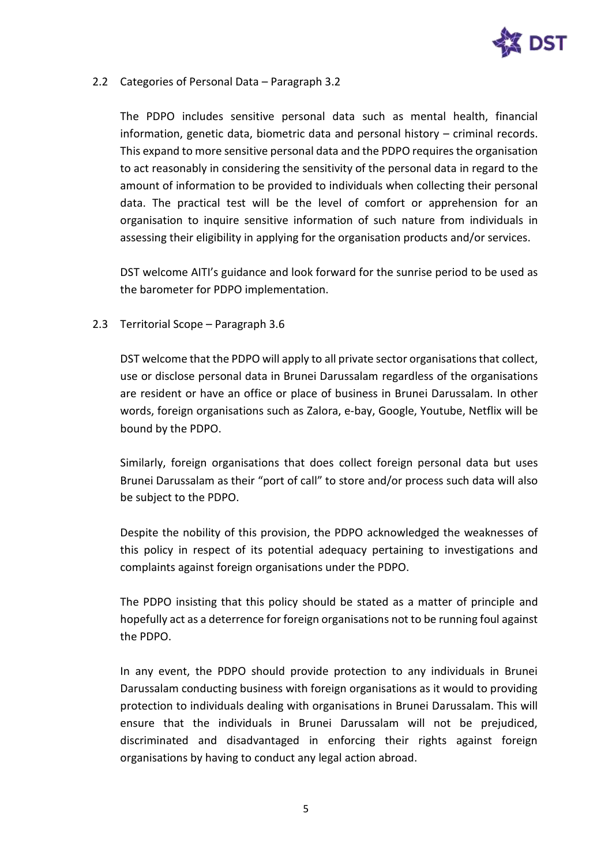

## 2.2 Categories of Personal Data – Paragraph 3.2

The PDPO includes sensitive personal data such as mental health, financial information, genetic data, biometric data and personal history – criminal records. This expand to more sensitive personal data and the PDPO requires the organisation to act reasonably in considering the sensitivity of the personal data in regard to the amount of information to be provided to individuals when collecting their personal data. The practical test will be the level of comfort or apprehension for an organisation to inquire sensitive information of such nature from individuals in assessing their eligibility in applying for the organisation products and/or services.

DST welcome AITI's guidance and look forward for the sunrise period to be used as the barometer for PDPO implementation.

### 2.3 Territorial Scope – Paragraph 3.6

DST welcome that the PDPO will apply to all private sector organisations that collect, use or disclose personal data in Brunei Darussalam regardless of the organisations are resident or have an office or place of business in Brunei Darussalam. In other words, foreign organisations such as Zalora, e-bay, Google, Youtube, Netflix will be bound by the PDPO.

Similarly, foreign organisations that does collect foreign personal data but uses Brunei Darussalam as their "port of call" to store and/or process such data will also be subject to the PDPO.

Despite the nobility of this provision, the PDPO acknowledged the weaknesses of this policy in respect of its potential adequacy pertaining to investigations and complaints against foreign organisations under the PDPO.

The PDPO insisting that this policy should be stated as a matter of principle and hopefully act as a deterrence for foreign organisations not to be running foul against the PDPO.

In any event, the PDPO should provide protection to any individuals in Brunei Darussalam conducting business with foreign organisations as it would to providing protection to individuals dealing with organisations in Brunei Darussalam. This will ensure that the individuals in Brunei Darussalam will not be prejudiced, discriminated and disadvantaged in enforcing their rights against foreign organisations by having to conduct any legal action abroad.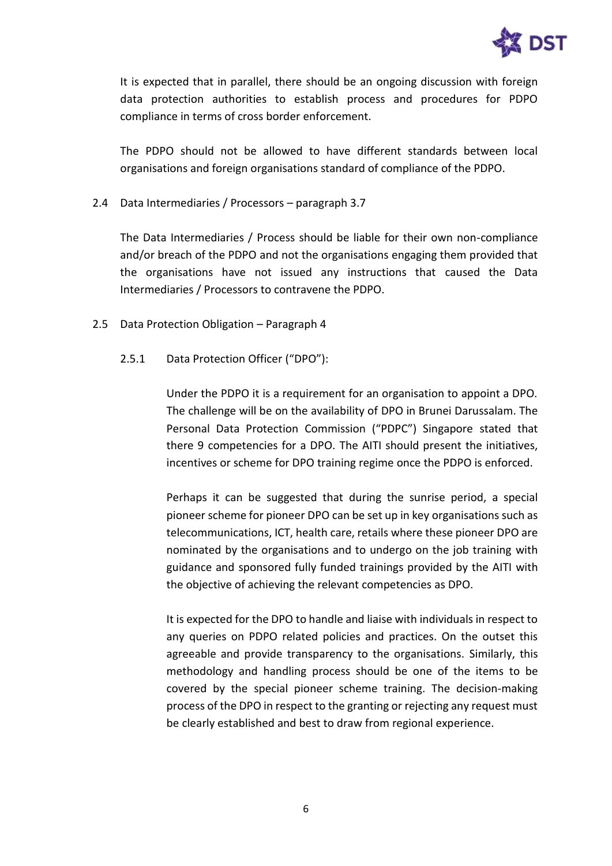

It is expected that in parallel, there should be an ongoing discussion with foreign data protection authorities to establish process and procedures for PDPO compliance in terms of cross border enforcement.

The PDPO should not be allowed to have different standards between local organisations and foreign organisations standard of compliance of the PDPO.

2.4 Data Intermediaries / Processors – paragraph 3.7

The Data Intermediaries / Process should be liable for their own non-compliance and/or breach of the PDPO and not the organisations engaging them provided that the organisations have not issued any instructions that caused the Data Intermediaries / Processors to contravene the PDPO.

- 2.5 Data Protection Obligation Paragraph 4
	- 2.5.1 Data Protection Officer ("DPO"):

Under the PDPO it is a requirement for an organisation to appoint a DPO. The challenge will be on the availability of DPO in Brunei Darussalam. The Personal Data Protection Commission ("PDPC") Singapore stated that there 9 competencies for a DPO. The AITI should present the initiatives, incentives or scheme for DPO training regime once the PDPO is enforced.

Perhaps it can be suggested that during the sunrise period, a special pioneer scheme for pioneer DPO can be set up in key organisations such as telecommunications, ICT, health care, retails where these pioneer DPO are nominated by the organisations and to undergo on the job training with guidance and sponsored fully funded trainings provided by the AITI with the objective of achieving the relevant competencies as DPO.

It is expected for the DPO to handle and liaise with individuals in respect to any queries on PDPO related policies and practices. On the outset this agreeable and provide transparency to the organisations. Similarly, this methodology and handling process should be one of the items to be covered by the special pioneer scheme training. The decision-making process of the DPO in respect to the granting or rejecting any request must be clearly established and best to draw from regional experience.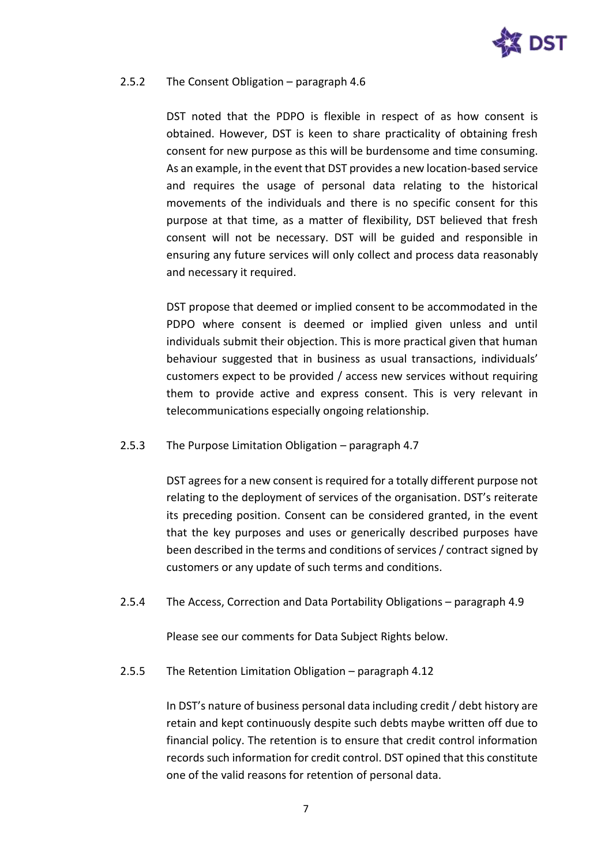

#### 2.5.2 The Consent Obligation – paragraph 4.6

DST noted that the PDPO is flexible in respect of as how consent is obtained. However, DST is keen to share practicality of obtaining fresh consent for new purpose as this will be burdensome and time consuming. As an example, in the event that DST provides a new location-based service and requires the usage of personal data relating to the historical movements of the individuals and there is no specific consent for this purpose at that time, as a matter of flexibility, DST believed that fresh consent will not be necessary. DST will be guided and responsible in ensuring any future services will only collect and process data reasonably and necessary it required.

DST propose that deemed or implied consent to be accommodated in the PDPO where consent is deemed or implied given unless and until individuals submit their objection. This is more practical given that human behaviour suggested that in business as usual transactions, individuals' customers expect to be provided / access new services without requiring them to provide active and express consent. This is very relevant in telecommunications especially ongoing relationship.

#### 2.5.3 The Purpose Limitation Obligation – paragraph 4.7

DST agrees for a new consent is required for a totally different purpose not relating to the deployment of services of the organisation. DST's reiterate its preceding position. Consent can be considered granted, in the event that the key purposes and uses or generically described purposes have been described in the terms and conditions of services / contract signed by customers or any update of such terms and conditions.

2.5.4 The Access, Correction and Data Portability Obligations – paragraph 4.9

Please see our comments for Data Subject Rights below.

2.5.5 The Retention Limitation Obligation – paragraph 4.12

In DST's nature of business personal data including credit / debt history are retain and kept continuously despite such debts maybe written off due to financial policy. The retention is to ensure that credit control information records such information for credit control. DST opined that this constitute one of the valid reasons for retention of personal data.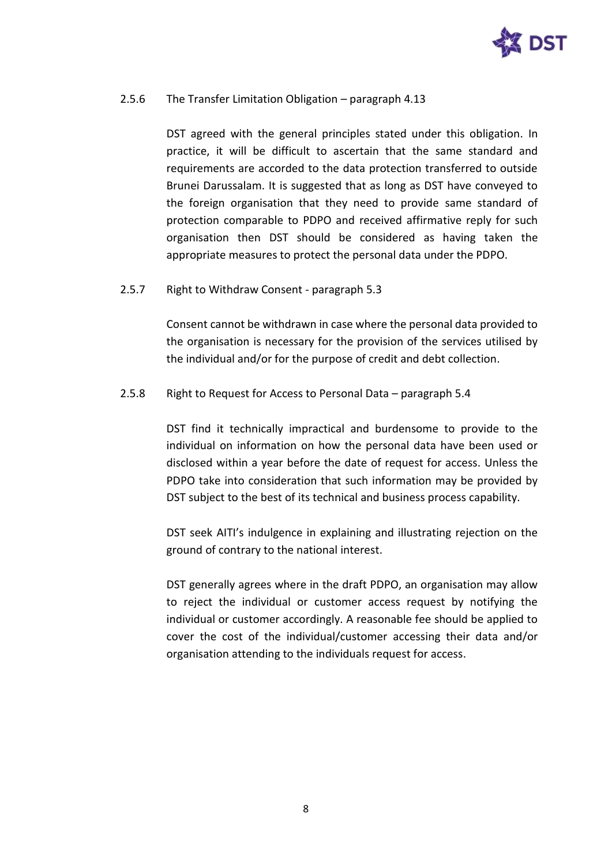

## 2.5.6 The Transfer Limitation Obligation – paragraph 4.13

DST agreed with the general principles stated under this obligation. In practice, it will be difficult to ascertain that the same standard and requirements are accorded to the data protection transferred to outside Brunei Darussalam. It is suggested that as long as DST have conveyed to the foreign organisation that they need to provide same standard of protection comparable to PDPO and received affirmative reply for such organisation then DST should be considered as having taken the appropriate measures to protect the personal data under the PDPO.

2.5.7 Right to Withdraw Consent - paragraph 5.3

Consent cannot be withdrawn in case where the personal data provided to the organisation is necessary for the provision of the services utilised by the individual and/or for the purpose of credit and debt collection.

### 2.5.8 Right to Request for Access to Personal Data – paragraph 5.4

DST find it technically impractical and burdensome to provide to the individual on information on how the personal data have been used or disclosed within a year before the date of request for access. Unless the PDPO take into consideration that such information may be provided by DST subject to the best of its technical and business process capability.

DST seek AITI's indulgence in explaining and illustrating rejection on the ground of contrary to the national interest.

DST generally agrees where in the draft PDPO, an organisation may allow to reject the individual or customer access request by notifying the individual or customer accordingly. A reasonable fee should be applied to cover the cost of the individual/customer accessing their data and/or organisation attending to the individuals request for access.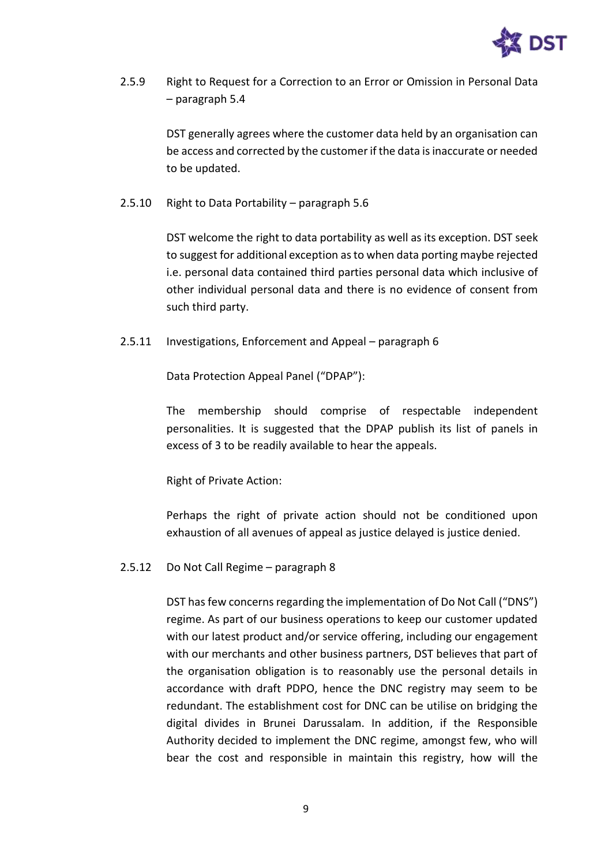

2.5.9 Right to Request for a Correction to an Error or Omission in Personal Data – paragraph 5.4

> DST generally agrees where the customer data held by an organisation can be access and corrected by the customer if the data is inaccurate or needed to be updated.

2.5.10 Right to Data Portability – paragraph 5.6

DST welcome the right to data portability as well as its exception. DST seek to suggest for additional exception as to when data porting maybe rejected i.e. personal data contained third parties personal data which inclusive of other individual personal data and there is no evidence of consent from such third party.

2.5.11 Investigations, Enforcement and Appeal – paragraph 6

Data Protection Appeal Panel ("DPAP"):

The membership should comprise of respectable independent personalities. It is suggested that the DPAP publish its list of panels in excess of 3 to be readily available to hear the appeals.

Right of Private Action:

Perhaps the right of private action should not be conditioned upon exhaustion of all avenues of appeal as justice delayed is justice denied.

# 2.5.12 Do Not Call Regime – paragraph 8

DST has few concerns regarding the implementation of Do Not Call ("DNS") regime. As part of our business operations to keep our customer updated with our latest product and/or service offering, including our engagement with our merchants and other business partners, DST believes that part of the organisation obligation is to reasonably use the personal details in accordance with draft PDPO, hence the DNC registry may seem to be redundant. The establishment cost for DNC can be utilise on bridging the digital divides in Brunei Darussalam. In addition, if the Responsible Authority decided to implement the DNC regime, amongst few, who will bear the cost and responsible in maintain this registry, how will the